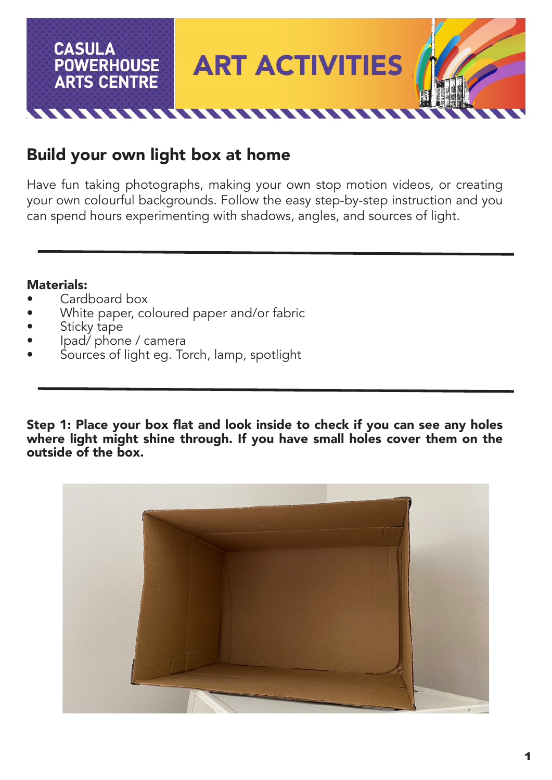

## Build your own light box at home

Have fun taking photographs, making your own stop motion videos, or creating your own colourful backgrounds. Follow the easy step-by-step instruction and you can spend hours experimenting with shadows, angles, and sources of light.

## Materials:

- Cardboard box
- White paper, coloured paper and/or fabric
- Sticky tape
- Ipad/ phone / camera
- Sources of light eg. Torch, lamp, spotlight

Step 1: Place your box flat and look inside to check if you can see any holes where light might shine through. If you have small holes cover them on the outside of the box.

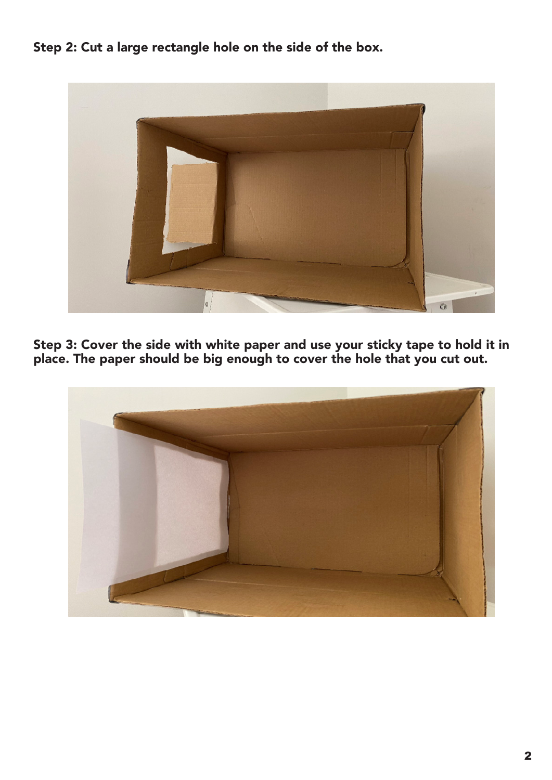Step 2: Cut a large rectangle hole on the side of the box.



Step 3: Cover the side with white paper and use your sticky tape to hold it in place. The paper should be big enough to cover the hole that you cut out.

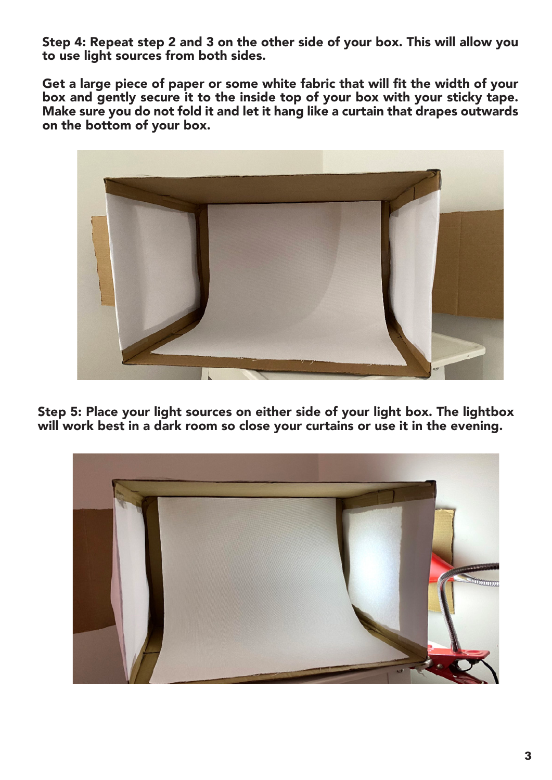Step 4: Repeat step 2 and 3 on the other side of your box. This will allow you to use light sources from both sides.

Get a large piece of paper or some white fabric that will fit the width of your box and gently secure it to the inside top of your box with your sticky tape. Make sure you do not fold it and let it hang like a curtain that drapes outwards on the bottom of your box.



Step 5: Place your light sources on either side of your light box. The lightbox will work best in a dark room so close your curtains or use it in the evening.